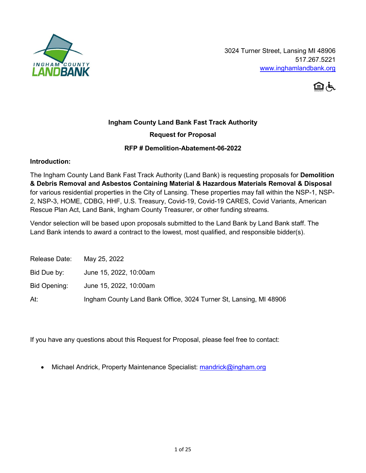

3024 Turner Street, Lansing MI 48906 517.267.5221 [www.inghamlandbank.org](http://www.inghamlandbank.org/)



# **Ingham County Land Bank Fast Track Authority**

# **Request for Proposal**

## **RFP # Demolition-Abatement-06-2022**

#### **Introduction:**

The Ingham County Land Bank Fast Track Authority (Land Bank) is requesting proposals for **Demolition & Debris Removal and Asbestos Containing Material & Hazardous Materials Removal & Disposal**  for various residential properties in the City of Lansing. These properties may fall within the NSP-1, NSP-2, NSP-3, HOME, CDBG, HHF, U.S. Treasury, Covid-19, Covid-19 CARES, Covid Variants, American Rescue Plan Act, Land Bank, Ingham County Treasurer, or other funding streams.

Vendor selection will be based upon proposals submitted to the Land Bank by Land Bank staff. The Land Bank intends to award a contract to the lowest, most qualified, and responsible bidder(s).

| Release Date: | May 25, 2022                                                      |
|---------------|-------------------------------------------------------------------|
| Bid Due by:   | June 15, 2022, 10:00am                                            |
| Bid Opening:  | June 15, 2022, 10:00am                                            |
| At:           | Ingham County Land Bank Office, 3024 Turner St, Lansing, MI 48906 |

If you have any questions about this Request for Proposal, please feel free to contact:

Michael Andrick, Property Maintenance Specialist: mandrick@ingham.org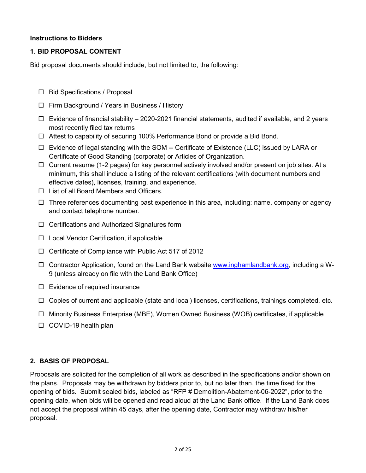## **Instructions to Bidders**

## **1. BID PROPOSAL CONTENT**

Bid proposal documents should include, but not limited to, the following:

- $\Box$  Bid Specifications / Proposal
- □ Firm Background / Years in Business / History
- $\Box$  Evidence of financial stability 2020-2021 financial statements, audited if available, and 2 years most recently filed tax returns
- $\Box$  Attest to capability of securing 100% Performance Bond or provide a Bid Bond.
- $\Box$  Evidence of legal standing with the SOM -- Certificate of Existence (LLC) issued by LARA or Certificate of Good Standing (corporate) or Articles of Organization.
- $\Box$  Current resume (1-2 pages) for key personnel actively involved and/or present on job sites. At a minimum, this shall include a listing of the relevant certifications (with document numbers and effective dates), licenses, training, and experience.
- $\Box$  List of all Board Members and Officers.
- $\Box$  Three references documenting past experience in this area, including: name, company or agency and contact telephone number.
- □ Certifications and Authorized Signatures form
- $\Box$  Local Vendor Certification, if applicable
- $\Box$  Certificate of Compliance with Public Act 517 of 2012
- $\Box$  Contractor Application, found on the Land Bank website [www.inghamlandbank.org,](http://www.inghamlandbank.org/) including a W-9 (unless already on file with the Land Bank Office)
- $\Box$  Evidence of required insurance
- $\Box$  Copies of current and applicable (state and local) licenses, certifications, trainings completed, etc.
- $\Box$  Minority Business Enterprise (MBE), Women Owned Business (WOB) certificates, if applicable
- $\Box$  COVID-19 health plan

#### **2. BASIS OF PROPOSAL**

Proposals are solicited for the completion of all work as described in the specifications and/or shown on the plans. Proposals may be withdrawn by bidders prior to, but no later than, the time fixed for the opening of bids. Submit sealed bids, labeled as "RFP # Demolition-Abatement-06-2022", prior to the opening date, when bids will be opened and read aloud at the Land Bank office. If the Land Bank does not accept the proposal within 45 days, after the opening date, Contractor may withdraw his/her proposal.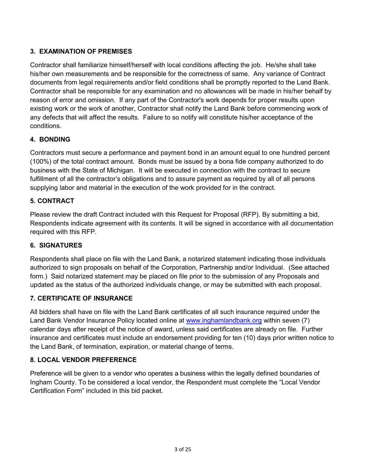# **3. EXAMINATION OF PREMISES**

Contractor shall familiarize himself/herself with local conditions affecting the job. He/she shall take his/her own measurements and be responsible for the correctness of same. Any variance of Contract documents from legal requirements and/or field conditions shall be promptly reported to the Land Bank. Contractor shall be responsible for any examination and no allowances will be made in his/her behalf by reason of error and omission. If any part of the Contractor's work depends for proper results upon existing work or the work of another, Contractor shall notify the Land Bank before commencing work of any defects that will affect the results. Failure to so notify will constitute his/her acceptance of the conditions.

## **4. BONDING**

Contractors must secure a performance and payment bond in an amount equal to one hundred percent (100%) of the total contract amount. Bonds must be issued by a bona fide company authorized to do business with the State of Michigan. It will be executed in connection with the contract to secure fulfillment of all the contractor's obligations and to assure payment as required by all of all persons supplying labor and material in the execution of the work provided for in the contract.

## **5. CONTRACT**

Please review the draft Contract included with this Request for Proposal (RFP). By submitting a bid, Respondents indicate agreement with its contents. It will be signed in accordance with all documentation required with this RFP.

#### **6. SIGNATURES**

Respondents shall place on file with the Land Bank, a notarized statement indicating those individuals authorized to sign proposals on behalf of the Corporation, Partnership and/or Individual. (See attached form.) Said notarized statement may be placed on file prior to the submission of any Proposals and updated as the status of the authorized individuals change, or may be submitted with each proposal.

## **7. CERTIFICATE OF INSURANCE**

All bidders shall have on file with the Land Bank certificates of all such insurance required under the Land Bank Vendor Insurance Policy located online at [www.inghamlandbank.org](http://www.inghamlandbank.org/) within seven (7) calendar days after receipt of the notice of award, unless said certificates are already on file. Further insurance and certificates must include an endorsement providing for ten (10) days prior written notice to the Land Bank, of termination, expiration, or material change of terms.

## **8. LOCAL VENDOR PREFERENCE**

Preference will be given to a vendor who operates a business within the legally defined boundaries of Ingham County. To be considered a local vendor, the Respondent must complete the "Local Vendor Certification Form" included in this bid packet.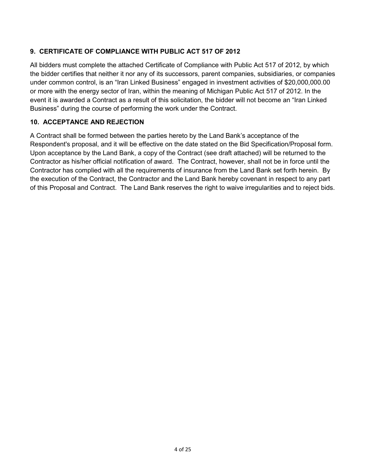# **9. CERTIFICATE OF COMPLIANCE WITH PUBLIC ACT 517 OF 2012**

All bidders must complete the attached Certificate of Compliance with Public Act 517 of 2012, by which the bidder certifies that neither it nor any of its successors, parent companies, subsidiaries, or companies under common control, is an "Iran Linked Business" engaged in investment activities of \$20,000,000.00 or more with the energy sector of Iran, within the meaning of Michigan Public Act 517 of 2012. In the event it is awarded a Contract as a result of this solicitation, the bidder will not become an "Iran Linked Business" during the course of performing the work under the Contract.

## **10. ACCEPTANCE AND REJECTION**

A Contract shall be formed between the parties hereto by the Land Bank's acceptance of the Respondent's proposal, and it will be effective on the date stated on the Bid Specification/Proposal form. Upon acceptance by the Land Bank, a copy of the Contract (see draft attached) will be returned to the Contractor as his/her official notification of award. The Contract, however, shall not be in force until the Contractor has complied with all the requirements of insurance from the Land Bank set forth herein. By the execution of the Contract, the Contractor and the Land Bank hereby covenant in respect to any part of this Proposal and Contract. The Land Bank reserves the right to waive irregularities and to reject bids.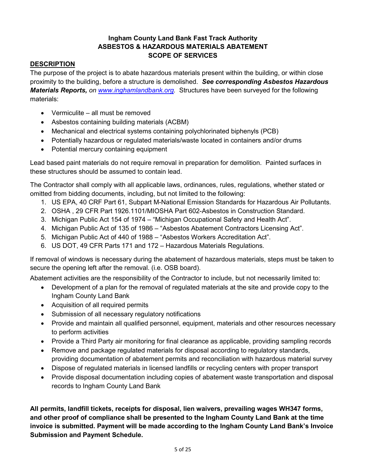# **Ingham County Land Bank Fast Track Authority ASBESTOS & HAZARDOUS MATERIALS ABATEMENT SCOPE OF SERVICES**

# **DESCRIPTION**

The purpose of the project is to abate hazardous materials present within the building, or within close proximity to the building, before a structure is demolished. *See corresponding Asbestos Hazardous Materials Reports, on [www.inghamlandbank.org.](http://www.inghamlandbank.org/)* Structures have been surveyed for the following materials:

- Vermiculite all must be removed
- Asbestos containing building materials (ACBM)
- Mechanical and electrical systems containing polychlorinated biphenyls (PCB)
- Potentially hazardous or regulated materials/waste located in containers and/or drums
- Potential mercury containing equipment

Lead based paint materials do not require removal in preparation for demolition. Painted surfaces in these structures should be assumed to contain lead.

The Contractor shall comply with all applicable laws, ordinances, rules, regulations, whether stated or omitted from bidding documents, including, but not limited to the following:

- 1. US EPA, 40 CRF Part 61, Subpart M-National Emission Standards for Hazardous Air Pollutants.
- 2. OSHA , 29 CFR Part 1926.1101/MIOSHA Part 602-Asbestos in Construction Standard.
- 3. Michigan Public Act 154 of 1974 "Michigan Occupational Safety and Health Act".
- 4. Michigan Public Act of 135 of 1986 "Asbestos Abatement Contractors Licensing Act".
- 5. Michigan Public Act of 440 of 1988 "Asbestos Workers Accreditation Act".
- 6. US DOT, 49 CFR Parts 171 and 172 Hazardous Materials Regulations.

If removal of windows is necessary during the abatement of hazardous materials, steps must be taken to secure the opening left after the removal. (i.e. OSB board).

Abatement activities are the responsibility of the Contractor to include, but not necessarily limited to:

- Development of a plan for the removal of regulated materials at the site and provide copy to the Ingham County Land Bank
- Acquisition of all required permits
- Submission of all necessary regulatory notifications
- Provide and maintain all qualified personnel, equipment, materials and other resources necessary to perform activities
- Provide a Third Party air monitoring for final clearance as applicable, providing sampling records
- Remove and package regulated materials for disposal according to regulatory standards, providing documentation of abatement permits and reconciliation with hazardous material survey
- Dispose of regulated materials in licensed landfills or recycling centers with proper transport
- Provide disposal documentation including copies of abatement waste transportation and disposal records to Ingham County Land Bank

**All permits, landfill tickets, receipts for disposal, lien waivers, prevailing wages WH347 forms, and other proof of compliance shall be presented to the Ingham County Land Bank at the time invoice is submitted. Payment will be made according to the Ingham County Land Bank's Invoice Submission and Payment Schedule.**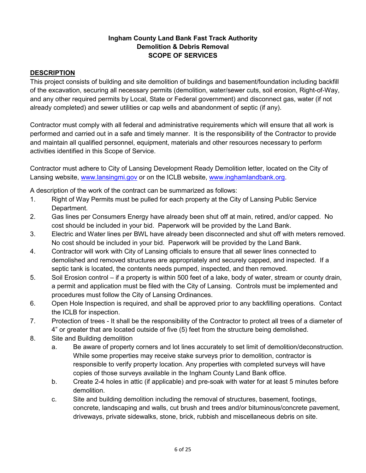# **Ingham County Land Bank Fast Track Authority Demolition & Debris Removal SCOPE OF SERVICES**

## **DESCRIPTION**

This project consists of building and site demolition of buildings and basement/foundation including backfill of the excavation, securing all necessary permits (demolition, water/sewer cuts, soil erosion, Right-of-Way, and any other required permits by Local, State or Federal government) and disconnect gas, water (if not already completed) and sewer utilities or cap wells and abandonment of septic (if any).

Contractor must comply with all federal and administrative requirements which will ensure that all work is performed and carried out in a safe and timely manner. It is the responsibility of the Contractor to provide and maintain all qualified personnel, equipment, materials and other resources necessary to perform activities identified in this Scope of Service.

Contractor must adhere to City of Lansing Development Ready Demolition letter, located on the City of Lansing website, [www.lansingmi.gov](http://www.lansingmi.gov/) or on the ICLB website, [www.inghamlandbank.org.](http://www.inghamlandbank.org/)

A description of the work of the contract can be summarized as follows:

- 1. Right of Way Permits must be pulled for each property at the City of Lansing Public Service Department.
- 2. Gas lines per Consumers Energy have already been shut off at main, retired, and/or capped. No cost should be included in your bid. Paperwork will be provided by the Land Bank.
- 3. Electric and Water lines per BWL have already been disconnected and shut off with meters removed. No cost should be included in your bid. Paperwork will be provided by the Land Bank.
- 4. Contractor will work with City of Lansing officials to ensure that all sewer lines connected to demolished and removed structures are appropriately and securely capped, and inspected. If a septic tank is located, the contents needs pumped, inspected, and then removed.
- 5. Soil Erosion control if a property is within 500 feet of a lake, body of water, stream or county drain, a permit and application must be filed with the City of Lansing. Controls must be implemented and procedures must follow the City of Lansing Ordinances.
- 6. Open Hole Inspection is required, and shall be approved prior to any backfilling operations. Contact the ICLB for inspection.
- 7. Protection of trees It shall be the responsibility of the Contractor to protect all trees of a diameter of 4" or greater that are located outside of five (5) feet from the structure being demolished.
- 8. Site and Building demolition
	- a. Be aware of property corners and lot lines accurately to set limit of demolition/deconstruction. While some properties may receive stake surveys prior to demolition, contractor is responsible to verify property location. Any properties with completed surveys will have copies of those surveys available in the Ingham County Land Bank office.
	- b. Create 2-4 holes in attic (if applicable) and pre-soak with water for at least 5 minutes before demolition.
	- c. Site and building demolition including the removal of structures, basement, footings, concrete, landscaping and walls, cut brush and trees and/or bituminous/concrete pavement, driveways, private sidewalks, stone, brick, rubbish and miscellaneous debris on site.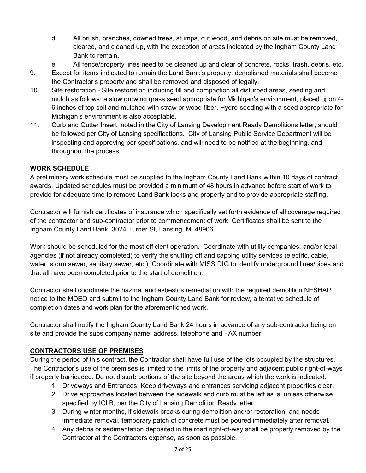- d. All brush, branches, downed trees, stumps, cut wood, and debris on site must be removed, cleared, and cleaned up, with the exception of areas indicated by the Ingham County Land Bank to remain.
- e. All fence/property lines need to be cleaned up and clear of concrete, rocks, trash, debris, etc.
- 9. Except for items indicated to remain the Land Bank's property, demolished materials shall become the Contractor's property and shall be removed and disposed of legally.
- 10. Site restoration Site restoration including fill and compaction all disturbed areas, seeding and mulch as follows: a slow growing grass seed appropriate for Michigan's environment, placed upon 4- 6 inches of top soil and mulched with straw or wood fiber. Hydro-seeding with a seed appropriate for Michigan's environment is also acceptable.
- 11. Curb and Gutter Insert, noted in the City of Lansing Development Ready Demolitions letter, should be followed per City of Lansing specifications. City of Lansing Public Service Department will be inspecting and approving per specifications, and will need to be notified at the beginning, and throughout the process.

## **WORK SCHEDULE**

A preliminary work schedule must be supplied to the Ingham County Land Bank within 10 days of contract awards. Updated schedules must be provided a minimum of 48 hours in advance before start of work to provide for adequate time to remove Land Bank locks and property and to provide appropriate staffing.

Contractor will furnish certificates of insurance which specifically set forth evidence of all coverage required of the contractor and sub-contractor prior to commencement of work. Certificates shall be sent to the Ingham County Land Bank, 3024 Turner St, Lansing, MI 48906.

Work should be scheduled for the most efficient operation. Coordinate with utility companies, and/or local agencies (if not already completed) to verify the shutting off and capping utility services (electric, cable, water, storm sewer, sanitary sewer, etc.) Coordinate with MISS DIG to identify underground lines/pipes and that all have been completed prior to the start of demolition.

Contractor shall coordinate the hazmat and asbestos remediation with the required demolition NESHAP notice to the MDEQ and submit to the Ingham County Land Bank for review, a tentative schedule of completion dates and work plan for the aforementioned work.

Contractor shall notify the Ingham County Land Bank 24 hours in advance of any sub-contractor being on site and provide the subs company name, address, telephone and FAX number.

## **CONTRACTORS USE OF PREMISES**

During the period of this contract, the Contractor shall have full use of the lots occupied by the structures. The Contractor's use of the premises is limited to the limits of the property and adjacent public right-of-ways if properly barricaded. Do not disturb portions of the site beyond the areas which the work is indicated.

- 1. Driveways and Entrances: Keep driveways and entrances servicing adjacent properties clear.
- 2. Drive approaches located between the sidewalk and curb must be left as is, unless otherwise specified by ICLB, per the City of Lansing Demolition Ready letter.
- 3. During winter months, if sidewalk breaks during demolition and/or restoration, and needs immediate removal, temporary patch of concrete must be poured immediately after removal.
- 4. Any debris or sedimentation deposited in the road right-of-way shall be properly removed by the Contractor at the Contractors expense, as soon as possible.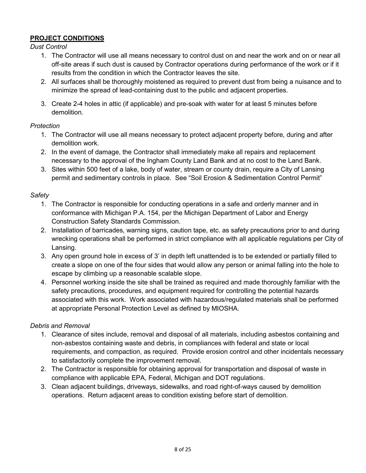# **PROJECT CONDITIONS**

*Dust Control*

- 1. The Contractor will use all means necessary to control dust on and near the work and on or near all off-site areas if such dust is caused by Contractor operations during performance of the work or if it results from the condition in which the Contractor leaves the site.
- 2. All surfaces shall be thoroughly moistened as required to prevent dust from being a nuisance and to minimize the spread of lead-containing dust to the public and adjacent properties.
- 3. Create 2-4 holes in attic (if applicable) and pre-soak with water for at least 5 minutes before demolition.

## *Protection*

- 1. The Contractor will use all means necessary to protect adjacent property before, during and after demolition work.
- 2. In the event of damage, the Contractor shall immediately make all repairs and replacement necessary to the approval of the Ingham County Land Bank and at no cost to the Land Bank.
- 3. Sites within 500 feet of a lake, body of water, stream or county drain, require a City of Lansing permit and sedimentary controls in place. See "Soil Erosion & Sedimentation Control Permit"

## *Safety*

- 1. The Contractor is responsible for conducting operations in a safe and orderly manner and in conformance with Michigan P.A. 154, per the Michigan Department of Labor and Energy Construction Safety Standards Commission.
- 2. Installation of barricades, warning signs, caution tape, etc. as safety precautions prior to and during wrecking operations shall be performed in strict compliance with all applicable regulations per City of Lansing.
- 3. Any open ground hole in excess of 3' in depth left unattended is to be extended or partially filled to create a slope on one of the four sides that would allow any person or animal falling into the hole to escape by climbing up a reasonable scalable slope.
- 4. Personnel working inside the site shall be trained as required and made thoroughly familiar with the safety precautions, procedures, and equipment required for controlling the potential hazards associated with this work. Work associated with hazardous/regulated materials shall be performed at appropriate Personal Protection Level as defined by MIOSHA.

## *Debris and Removal*

- 1. Clearance of sites include, removal and disposal of all materials, including asbestos containing and non-asbestos containing waste and debris, in compliances with federal and state or local requirements, and compaction, as required. Provide erosion control and other incidentals necessary to satisfactorily complete the improvement removal.
- 2. The Contractor is responsible for obtaining approval for transportation and disposal of waste in compliance with applicable EPA, Federal, Michigan and DOT regulations.
- 3. Clean adjacent buildings, driveways, sidewalks, and road right-of-ways caused by demolition operations. Return adjacent areas to condition existing before start of demolition.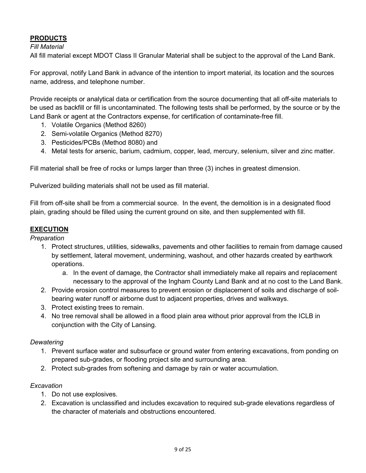# **PRODUCTS**

## *Fill Material*

All fill material except MDOT Class II Granular Material shall be subject to the approval of the Land Bank.

For approval, notify Land Bank in advance of the intention to import material, its location and the sources name, address, and telephone number.

Provide receipts or analytical data or certification from the source documenting that all off-site materials to be used as backfill or fill is uncontaminated. The following tests shall be performed, by the source or by the Land Bank or agent at the Contractors expense, for certification of contaminate-free fill.

- 1. Volatile Organics (Method 8260)
- 2. Semi-volatile Organics (Method 8270)
- 3. Pesticides/PCBs (Method 8080) and
- 4. Metal tests for arsenic, barium, cadmium, copper, lead, mercury, selenium, silver and zinc matter.

Fill material shall be free of rocks or lumps larger than three (3) inches in greatest dimension.

Pulverized building materials shall not be used as fill material.

Fill from off-site shall be from a commercial source. In the event, the demolition is in a designated flood plain, grading should be filled using the current ground on site, and then supplemented with fill.

## **EXECUTION**

#### *Preparation*

- 1. Protect structures, utilities, sidewalks, pavements and other facilities to remain from damage caused by settlement, lateral movement, undermining, washout, and other hazards created by earthwork operations.
	- a. In the event of damage, the Contractor shall immediately make all repairs and replacement necessary to the approval of the Ingham County Land Bank and at no cost to the Land Bank.
- 2. Provide erosion control measures to prevent erosion or displacement of soils and discharge of soilbearing water runoff or airborne dust to adjacent properties, drives and walkways.
- 3. Protect existing trees to remain.
- 4. No tree removal shall be allowed in a flood plain area without prior approval from the ICLB in conjunction with the City of Lansing.

#### *Dewatering*

- 1. Prevent surface water and subsurface or ground water from entering excavations, from ponding on prepared sub-grades, or flooding project site and surrounding area.
- 2. Protect sub-grades from softening and damage by rain or water accumulation.

#### *Excavation*

- 1. Do not use explosives.
- 2. Excavation is unclassified and includes excavation to required sub-grade elevations regardless of the character of materials and obstructions encountered.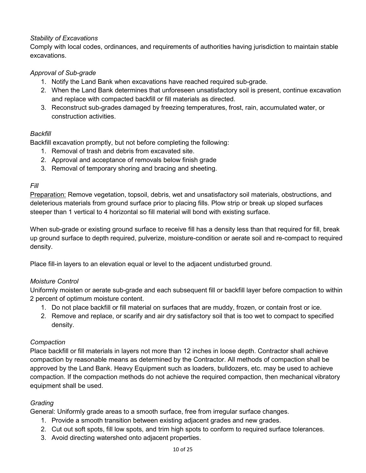# *Stability of Excavations*

Comply with local codes, ordinances, and requirements of authorities having jurisdiction to maintain stable excavations.

# *Approval of Sub-grade*

- 1. Notify the Land Bank when excavations have reached required sub-grade.
- 2. When the Land Bank determines that unforeseen unsatisfactory soil is present, continue excavation and replace with compacted backfill or fill materials as directed.
- 3. Reconstruct sub-grades damaged by freezing temperatures, frost, rain, accumulated water, or construction activities.

## *Backfill*

Backfill excavation promptly, but not before completing the following:

- 1. Removal of trash and debris from excavated site.
- 2. Approval and acceptance of removals below finish grade
- 3. Removal of temporary shoring and bracing and sheeting.

# *Fill*

Preparation: Remove vegetation, topsoil, debris, wet and unsatisfactory soil materials, obstructions, and deleterious materials from ground surface prior to placing fills. Plow strip or break up sloped surfaces steeper than 1 vertical to 4 horizontal so fill material will bond with existing surface.

When sub-grade or existing ground surface to receive fill has a density less than that required for fill, break up ground surface to depth required, pulverize, moisture-condition or aerate soil and re-compact to required density.

Place fill-in layers to an elevation equal or level to the adjacent undisturbed ground.

# *Moisture Control*

Uniformly moisten or aerate sub-grade and each subsequent fill or backfill layer before compaction to within 2 percent of optimum moisture content.

- 1. Do not place backfill or fill material on surfaces that are muddy, frozen, or contain frost or ice.
- 2. Remove and replace, or scarify and air dry satisfactory soil that is too wet to compact to specified density.

## *Compaction*

Place backfill or fill materials in layers not more than 12 inches in loose depth. Contractor shall achieve compaction by reasonable means as determined by the Contractor. All methods of compaction shall be approved by the Land Bank. Heavy Equipment such as loaders, bulldozers, etc. may be used to achieve compaction. If the compaction methods do not achieve the required compaction, then mechanical vibratory equipment shall be used.

# *Grading*

General: Uniformly grade areas to a smooth surface, free from irregular surface changes.

- 1. Provide a smooth transition between existing adjacent grades and new grades.
- 2. Cut out soft spots, fill low spots, and trim high spots to conform to required surface tolerances.
- 3. Avoid directing watershed onto adjacent properties.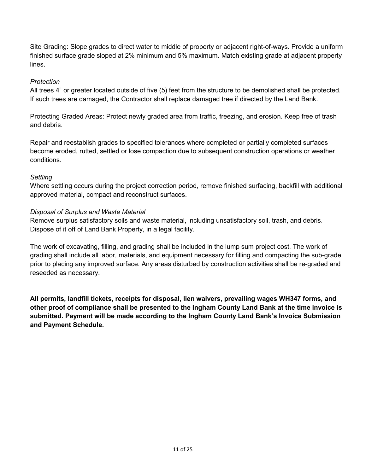Site Grading: Slope grades to direct water to middle of property or adjacent right-of-ways. Provide a uniform finished surface grade sloped at 2% minimum and 5% maximum. Match existing grade at adjacent property lines.

## *Protection*

All trees 4" or greater located outside of five (5) feet from the structure to be demolished shall be protected. If such trees are damaged, the Contractor shall replace damaged tree if directed by the Land Bank.

Protecting Graded Areas: Protect newly graded area from traffic, freezing, and erosion. Keep free of trash and debris.

Repair and reestablish grades to specified tolerances where completed or partially completed surfaces become eroded, rutted, settled or lose compaction due to subsequent construction operations or weather conditions.

## *Settling*

Where settling occurs during the project correction period, remove finished surfacing, backfill with additional approved material, compact and reconstruct surfaces.

## *Disposal of Surplus and Waste Material*

Remove surplus satisfactory soils and waste material, including unsatisfactory soil, trash, and debris. Dispose of it off of Land Bank Property, in a legal facility.

The work of excavating, filling, and grading shall be included in the lump sum project cost. The work of grading shall include all labor, materials, and equipment necessary for filling and compacting the sub-grade prior to placing any improved surface. Any areas disturbed by construction activities shall be re-graded and reseeded as necessary.

**All permits, landfill tickets, receipts for disposal, lien waivers, prevailing wages WH347 forms, and other proof of compliance shall be presented to the Ingham County Land Bank at the time invoice is submitted. Payment will be made according to the Ingham County Land Bank's Invoice Submission and Payment Schedule.**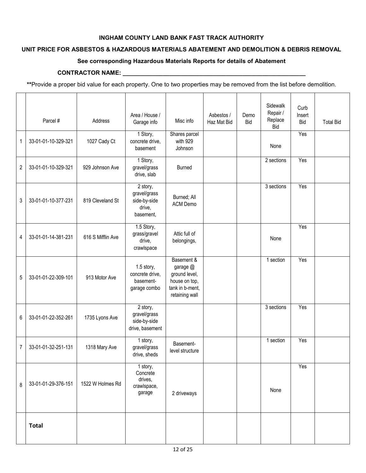#### **INGHAM COUNTY LAND BANK FAST TRACK AUTHORITY**

## **UNIT PRICE FOR ASBESTOS & HAZARDOUS MATERIALS ABATEMENT AND DEMOLITION & DEBRIS REMOVAL**

#### **See corresponding Hazardous Materials Reports for details of Abatement**

#### CONTRACTOR NAME: \_\_\_\_\_\_\_

**\*\***Provide a proper bid value for each property. One to two properties may be removed from the list before demolition.

|                  | Parcel #            | Address           | Area / House /<br>Garage info                                   | Misc info                                                                                     | Asbestos /<br>Haz Mat Bid | Demo<br><b>Bid</b> | Sidewalk<br>Repair /<br>Replace<br><b>Bid</b> | Curb<br>Insert<br><b>Bid</b> | <b>Total Bid</b> |
|------------------|---------------------|-------------------|-----------------------------------------------------------------|-----------------------------------------------------------------------------------------------|---------------------------|--------------------|-----------------------------------------------|------------------------------|------------------|
| 1                | 33-01-01-10-329-321 | 1027 Cady Ct      | 1 Story,<br>concrete drive,<br>basement                         | Shares parcel<br>with 929<br>Johnson                                                          |                           |                    | None                                          | Yes                          |                  |
| $\boldsymbol{2}$ | 33-01-01-10-329-321 | 929 Johnson Ave   | 1 Story,<br>gravel/grass<br>drive, slab                         | <b>Burned</b>                                                                                 |                           |                    | 2 sections                                    | Yes                          |                  |
| 3                | 33-01-01-10-377-231 | 819 Cleveland St  | 2 story,<br>gravel/grass<br>side-by-side<br>drive,<br>basement, | Burned; All<br>ACM Demo                                                                       |                           |                    | 3 sections                                    | Yes                          |                  |
| 4                | 33-01-01-14-381-231 | 616 S Mifflin Ave | 1.5 Story,<br>grass/gravel<br>drive,<br>crawlspace              | Attic full of<br>belongings,                                                                  |                           |                    | None                                          | Yes                          |                  |
| 5                | 33-01-01-22-309-101 | 913 Motor Ave     | 1.5 story,<br>concrete drive,<br>basement-<br>garage combo      | Basement &<br>garage @<br>ground level,<br>house on top,<br>tank in b-ment,<br>retaining wall |                           |                    | 1 section                                     | Yes                          |                  |
| 6                | 33-01-01-22-352-261 | 1735 Lyons Ave    | 2 story,<br>gravel/grass<br>side-by-side<br>drive, basement     |                                                                                               |                           |                    | 3 sections                                    | Yes                          |                  |
| $\overline{7}$   | 33-01-01-32-251-131 | 1318 Mary Ave     | 1 story,<br>gravel/grass<br>drive, sheds                        | Basement-<br>level structure                                                                  |                           |                    | 1 section                                     | Yes                          |                  |
| 8                | 33-01-01-29-376-151 | 1522 W Holmes Rd  | 1 story,<br>Concrete<br>drives,<br>crawlspace,<br>garage        | 2 driveways                                                                                   |                           |                    | None                                          | Yes                          |                  |
|                  | <b>Total</b>        |                   |                                                                 |                                                                                               |                           |                    |                                               |                              |                  |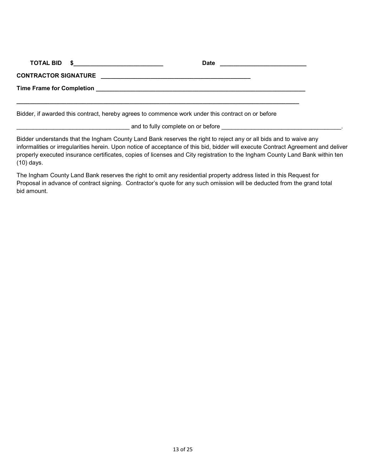| Bidder, if awarded this contract, hereby agrees to commence work under this contract on or before |  |
|---------------------------------------------------------------------------------------------------|--|

 $\_$  and to fully complete on or before  $\_\_$ 

Bidder understands that the Ingham County Land Bank reserves the right to reject any or all bids and to waive any informalities or irregularities herein. Upon notice of acceptance of this bid, bidder will execute Contract Agreement and deliver properly executed insurance certificates, copies of licenses and City registration to the Ingham County Land Bank within ten (10) days.

The Ingham County Land Bank reserves the right to omit any residential property address listed in this Request for Proposal in advance of contract signing. Contractor's quote for any such omission will be deducted from the grand total bid amount.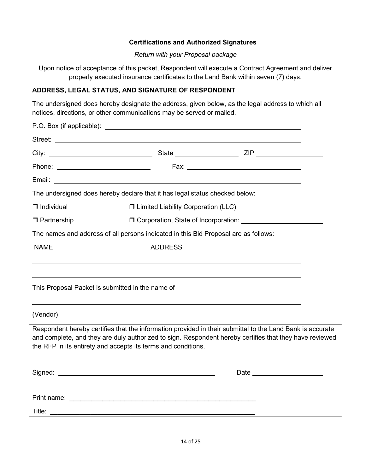### **Certifications and Authorized Signatures**

#### *Return with your Proposal package*

Upon notice of acceptance of this packet, Respondent will execute a Contract Agreement and deliver properly executed insurance certificates to the Land Bank within seven (7) days.

## **ADDRESS, LEGAL STATUS, AND SIGNATURE OF RESPONDENT**

The undersigned does hereby designate the address, given below, as the legal address to which all notices, directions, or other communications may be served or mailed.

| The undersigned does hereby declare that it has legal status checked below:         |                                                  |  |  |  |  |  |  |  |  |  |  |  |  |
|-------------------------------------------------------------------------------------|--------------------------------------------------|--|--|--|--|--|--|--|--|--|--|--|--|
| □ Limited Liability Corporation (LLC)<br>$\Box$ Individual                          |                                                  |  |  |  |  |  |  |  |  |  |  |  |  |
| $\Box$ Partnership                                                                  |                                                  |  |  |  |  |  |  |  |  |  |  |  |  |
| The names and address of all persons indicated in this Bid Proposal are as follows: |                                                  |  |  |  |  |  |  |  |  |  |  |  |  |
| <b>NAME</b>                                                                         | <b>ADDRESS</b>                                   |  |  |  |  |  |  |  |  |  |  |  |  |
|                                                                                     |                                                  |  |  |  |  |  |  |  |  |  |  |  |  |
|                                                                                     |                                                  |  |  |  |  |  |  |  |  |  |  |  |  |
|                                                                                     | This Proposal Packet is submitted in the name of |  |  |  |  |  |  |  |  |  |  |  |  |
|                                                                                     |                                                  |  |  |  |  |  |  |  |  |  |  |  |  |
| (Vendor)                                                                            |                                                  |  |  |  |  |  |  |  |  |  |  |  |  |

Respondent hereby certifies that the information provided in their submittal to the Land Bank is accurate and complete, and they are duly authorized to sign. Respondent hereby certifies that they have reviewed the RFP in its entirety and accepts its terms and conditions.

| Signed:     | Date |
|-------------|------|
|             |      |
| Print name: |      |
| Title:      |      |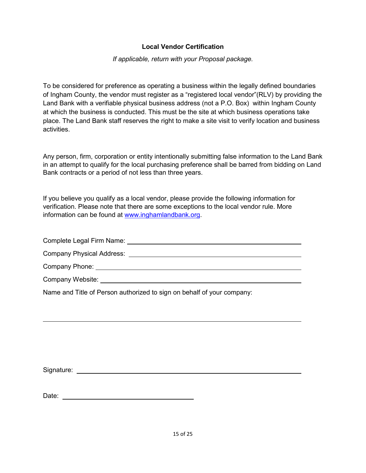## **Local Vendor Certification**

*If applicable, return with your Proposal package.*

To be considered for preference as operating a business within the legally defined boundaries of Ingham County, the vendor must register as a "registered local vendor"(RLV) by providing the Land Bank with a verifiable physical business address (not a P.O. Box) within Ingham County at which the business is conducted. This must be the site at which business operations take place. The Land Bank staff reserves the right to make a site visit to verify location and business activities.

Any person, firm, corporation or entity intentionally submitting false information to the Land Bank in an attempt to qualify for the local purchasing preference shall be barred from bidding on Land Bank contracts or a period of not less than three years.

If you believe you qualify as a local vendor, please provide the following information for verification. Please note that there are some exceptions to the local vendor rule. More information can be found at [www.inghamlandbank.org.](http://www.inghamlandbank.org/)

Complete Legal Firm Name:

Company Physical Address:

Company Phone:

Company Website:

Name and Title of Person authorized to sign on behalf of your company:

Signature: the state of the state of the state of the state of the state of the state of the state of the state of the state of the state of the state of the state of the state of the state of the state of the state of the

Date: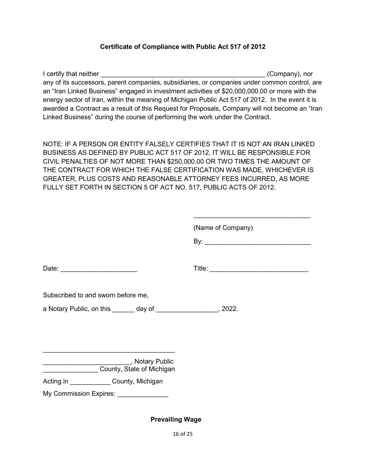## **Certificate of Compliance with Public Act 517 of 2012**

I certify that neither **I certify that neither Company**), nor any of its successors, parent companies, subsidiaries, or companies under common control, are an "Iran Linked Business" engaged in investment activities of \$20,000,000.00 or more with the energy sector of Iran, within the meaning of Michigan Public Act 517 of 2012. In the event it is awarded a Contract as a result of this Request for Proposals, Company will not become an "Iran Linked Business" during the course of performing the work under the Contract.

NOTE: IF A PERSON OR ENTITY FALSELY CERTIFIES THAT IT IS NOT AN IRAN LINKED BUSINESS AS DEFINED BY PUBLIC ACT 517 OF 2012, IT WILL BE RESPONSIBLE FOR CIVIL PENALTIES OF NOT MORE THAN \$250,000.00 OR TWO TIMES THE AMOUNT OF THE CONTRACT FOR WHICH THE FALSE CERTIFICATION WAS MADE, WHICHEVER IS GREATER, PLUS COSTS AND REASONABLE ATTORNEY FEES INCURRED, AS MORE FULLY SET FORTH IN SECTION 5 OF ACT NO. 517, PUBLIC ACTS OF 2012.

|                                                                | (Name of Company) |
|----------------------------------------------------------------|-------------------|
|                                                                |                   |
|                                                                |                   |
| Date: _______________________                                  | Title:            |
|                                                                |                   |
| Subscribed to and sworn before me,                             |                   |
| a Notary Public, on this day of _______________________, 2022. |                   |
|                                                                |                   |
|                                                                |                   |
|                                                                |                   |
| Notary Public<br>County, State of Michigan                     |                   |
|                                                                |                   |
| Acting in County, Michigan                                     |                   |

My Commission Expires:

**Prevailing Wage**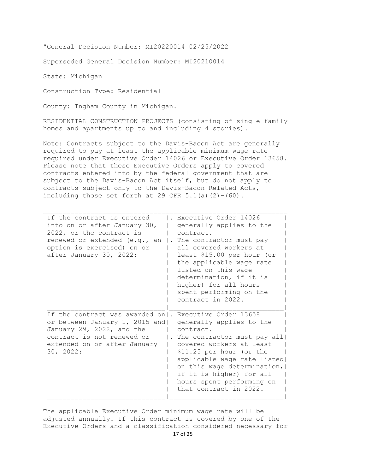"General Decision Number: MI20220014 02/25/2022

Superseded General Decision Number: MI20210014

State: Michigan

Construction Type: Residential

County: Ingham County in Michigan.

RESIDENTIAL CONSTRUCTION PROJECTS (consisting of single family homes and apartments up to and including 4 stories).

Note: Contracts subject to the Davis-Bacon Act are generally required to pay at least the applicable minimum wage rate required under Executive Order 14026 or Executive Order 13658. Please note that these Executive Orders apply to covered contracts entered into by the federal government that are subject to the Davis-Bacon Act itself, but do not apply to contracts subject only to the Davis-Bacon Related Acts, including those set forth at 29 CFR  $5.1(a)(2)-(60)$ .

| IIf the contract is entered<br>into on or after January 30,<br>2022, or the contract is<br>renewed or extended (e.g., an<br>option is exercised) on or<br>after January 30, 2022:                 | Executive Order 14026<br>generally applies to the<br>contract.<br>$\vert$ . The contractor must pay<br>all covered workers at<br>least \$15.00 per hour (or<br>the applicable wage rate<br>listed on this wage<br>determination, if it is<br>higher) for all hours<br>spent performing on the<br>contract in 2022. |
|---------------------------------------------------------------------------------------------------------------------------------------------------------------------------------------------------|--------------------------------------------------------------------------------------------------------------------------------------------------------------------------------------------------------------------------------------------------------------------------------------------------------------------|
| If the contract was awarded on . Executive Order 13658<br>or between January 1, 2015 and <br>January 29, 2022, and the<br>contract is not renewed or<br>extended on or after January<br>30, 2022: | generally applies to the<br>contract.<br>. The contractor must pay all<br>covered workers at least<br>\$11.25 per hour (or the<br>applicable wage rate listed <br>on this wage determination,<br>if it is higher) for all<br>hours spent performing on<br>that contract in 2022.                                   |

The applicable Executive Order minimum wage rate will be adjusted annually. If this contract is covered by one of the Executive Orders and a classification considered necessary for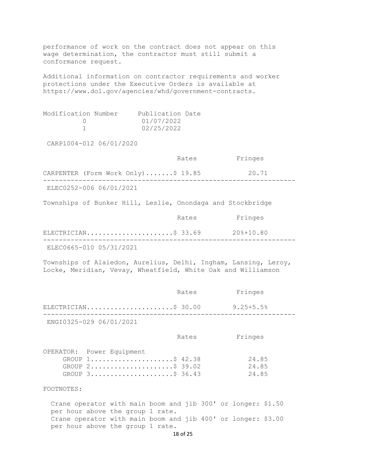performance of work on the contract does not appear on this wage determination, the contractor must still submit a conformance request. Additional information on contractor requirements and worker protections under the Executive Orders is available at https://www.dol.gov/agencies/whd/government-contracts. Modification Number Publication Date<br>0 01/07/2022  $0$   $01/07/2022$ <br>1  $02/25/2022$ 02/25/2022 CARP1004-012 06/01/2020 Rates Fringes CARPENTER (Form Work Only).......\$ 19.85 20.71 ---------------------------------------------------------------- ELEC0252-006 06/01/2021 Townships of Bunker Hill, Leslie, Onondaga and Stockbridge Rates Fringes ELECTRICIAN......................\$ 33.69 20%+10.80 ---------------------------------------------------------------- ELEC0665-010 05/31/2021 Townships of Alaiedon, Aurelius, Delhi, Ingham, Lansing, Leroy, Locke, Meridian, Vevay, Wheatfield, White Oak and Williamson Rates Fringes ELECTRICIAN.........................\$ 30.00 9.25+5.5% ---------------------------------------------------------------- ENGI0325-029 06/01/2021 Rates Fringes OPERATOR: Power Equipment GROUP 1........................\$ 42.38 24.85<br>GROUP 2.......................\$ 39.02 24.85 GROUP 2........................\$ 39.02 24.85<br>GROUP 3..........................\$ 36.43 24.85 GROUP 3.......................\$ 36.43 FOOTNOTES: Crane operator with main boom and jib 300' or longer: \$1.50 per hour above the group 1 rate. Crane operator with main boom and jib 400' or longer: \$3.00 per hour above the group 1 rate.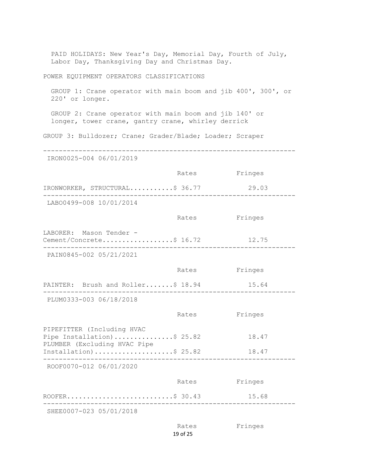PAID HOLIDAYS: New Year's Day, Memorial Day, Fourth of July, Labor Day, Thanksgiving Day and Christmas Day. POWER EQUIPMENT OPERATORS CLASSIFICATIONS GROUP 1: Crane operator with main boom and jib 400', 300', or 220' or longer. GROUP 2: Crane operator with main boom and jib 140' or longer, tower crane, gantry crane, whirley derrick GROUP 3: Bulldozer; Crane; Grader/Blade; Loader; Scraper ---------------------------------------------------------------- IRON0025-004 06/01/2019 Rates Fringes IRONWORKER, STRUCTURAL...........\$ 36.77 29.03 ---------------------------------------------------------------- LABO0499-008 10/01/2014 Rates Fringes LABORER: Mason Tender -Cement/Concrete...................\$ 16.72 12.75 ---------------------------------------------------------------- PAIN0845-002 05/21/2021 Rates Fringes PAINTER: Brush and Roller.......\$ 18.94 15.64 ---------------------------------------------------------------- PLUM0333-003 06/18/2018 Rates Fringes PIPEFITTER (Including HVAC Pipe Installation)...............\$ 25.82 18.47 PLUMBER (Excluding HVAC Pipe Installation)....................\$ 25.82 18.47 ---------------------------------------------------------------- ROOF0070-012 06/01/2020 Rates Fringes ROOFER...........................\$ 30.43 15.68 ---------------------------------------------------------------- SHEE0007-023 05/01/2018 Rates Fringes

```
19 of 25
```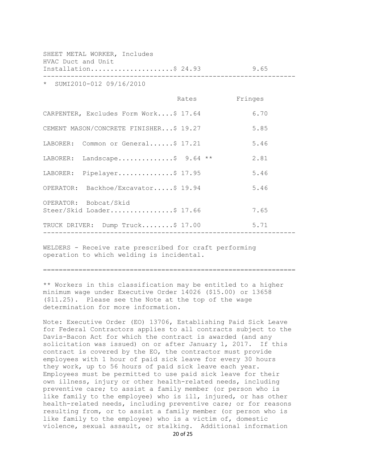| HVAC Duct and Unit        | SHEET METAL WORKER, Includes           |               |      |
|---------------------------|----------------------------------------|---------------|------|
|                           | Installation\$ 24.93 9.65              |               |      |
| * SUMI2010-012 09/16/2010 |                                        |               |      |
|                           |                                        | Rates Fringes |      |
|                           | CARPENTER, Excludes Form Work\$ 17.64  |               | 6.70 |
|                           | CEMENT MASON/CONCRETE FINISHER\$ 19.27 |               | 5.85 |
|                           | LABORER: Common or General\$ 17.21     |               | 5.46 |
|                           | LABORER: Landscape\$ 9.64 **           |               | 2.81 |
|                           | LABORER: Pipelayer\$ 17.95             |               | 5.46 |
|                           | OPERATOR: Backhoe/Excavator\$ 19.94    |               | 5.46 |
| OPERATOR: Bobcat/Skid     |                                        |               |      |
|                           | Steer/Skid Loader\$ 17.66              |               | 7.65 |
|                           | TRUCK DRIVER: Dump Truck\$ 17.00 5.71  |               |      |

WELDERS - Receive rate prescribed for craft performing operation to which welding is incidental.

================================================================

\*\* Workers in this classification may be entitled to a higher minimum wage under Executive Order 14026 (\$15.00) or 13658 (\$11.25). Please see the Note at the top of the wage determination for more information.

Note: Executive Order (EO) 13706, Establishing Paid Sick Leave for Federal Contractors applies to all contracts subject to the Davis-Bacon Act for which the contract is awarded (and any solicitation was issued) on or after January 1, 2017. If this contract is covered by the EO, the contractor must provide employees with 1 hour of paid sick leave for every 30 hours they work, up to 56 hours of paid sick leave each year. Employees must be permitted to use paid sick leave for their own illness, injury or other health-related needs, including preventive care; to assist a family member (or person who is like family to the employee) who is ill, injured, or has other health-related needs, including preventive care; or for reasons resulting from, or to assist a family member (or person who is like family to the employee) who is a victim of, domestic violence, sexual assault, or stalking. Additional information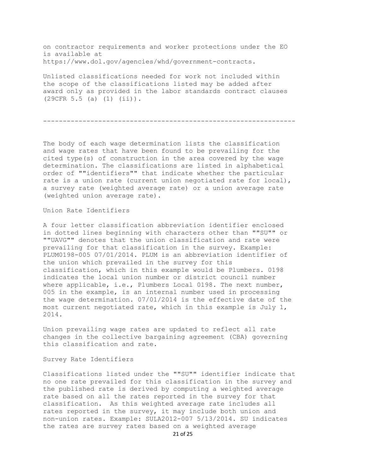on contractor requirements and worker protections under the EO is available at https://www.dol.gov/agencies/whd/government-contracts.

Unlisted classifications needed for work not included within the scope of the classifications listed may be added after award only as provided in the labor standards contract clauses (29CFR 5.5 (a) (1) (ii)).

----------------------------------------------------------------

The body of each wage determination lists the classification and wage rates that have been found to be prevailing for the cited type(s) of construction in the area covered by the wage determination. The classifications are listed in alphabetical order of ""identifiers"" that indicate whether the particular rate is a union rate (current union negotiated rate for local), a survey rate (weighted average rate) or a union average rate (weighted union average rate).

Union Rate Identifiers

A four letter classification abbreviation identifier enclosed in dotted lines beginning with characters other than ""SU"" or ""UAVG"" denotes that the union classification and rate were prevailing for that classification in the survey. Example: PLUM0198-005 07/01/2014. PLUM is an abbreviation identifier of the union which prevailed in the survey for this classification, which in this example would be Plumbers. 0198 indicates the local union number or district council number where applicable, i.e., Plumbers Local 0198. The next number, 005 in the example, is an internal number used in processing the wage determination. 07/01/2014 is the effective date of the most current negotiated rate, which in this example is July 1, 2014.

Union prevailing wage rates are updated to reflect all rate changes in the collective bargaining agreement (CBA) governing this classification and rate.

Survey Rate Identifiers

Classifications listed under the ""SU"" identifier indicate that no one rate prevailed for this classification in the survey and the published rate is derived by computing a weighted average rate based on all the rates reported in the survey for that classification. As this weighted average rate includes all rates reported in the survey, it may include both union and non-union rates. Example: SULA2012-007 5/13/2014. SU indicates the rates are survey rates based on a weighted average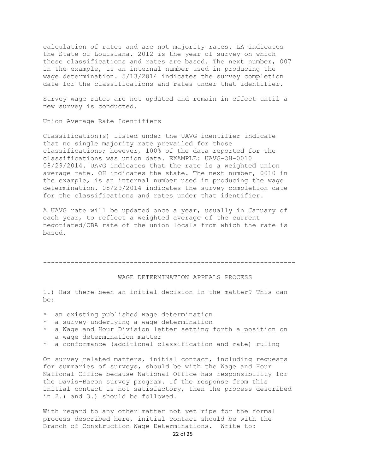calculation of rates and are not majority rates. LA indicates the State of Louisiana. 2012 is the year of survey on which these classifications and rates are based. The next number, 007 in the example, is an internal number used in producing the wage determination. 5/13/2014 indicates the survey completion date for the classifications and rates under that identifier.

Survey wage rates are not updated and remain in effect until a new survey is conducted.

Union Average Rate Identifiers

Classification(s) listed under the UAVG identifier indicate that no single majority rate prevailed for those classifications; however, 100% of the data reported for the classifications was union data. EXAMPLE: UAVG-OH-0010 08/29/2014. UAVG indicates that the rate is a weighted union average rate. OH indicates the state. The next number, 0010 in the example, is an internal number used in producing the wage determination. 08/29/2014 indicates the survey completion date for the classifications and rates under that identifier.

A UAVG rate will be updated once a year, usually in January of each year, to reflect a weighted average of the current negotiated/CBA rate of the union locals from which the rate is based.

----------------------------------------------------------------

#### WAGE DETERMINATION APPEALS PROCESS

1.) Has there been an initial decision in the matter? This can be:

- \* an existing published wage determination
- \* a survey underlying a wage determination
- \* a Wage and Hour Division letter setting forth a position on a wage determination matter
- \* a conformance (additional classification and rate) ruling

On survey related matters, initial contact, including requests for summaries of surveys, should be with the Wage and Hour National Office because National Office has responsibility for the Davis-Bacon survey program. If the response from this initial contact is not satisfactory, then the process described in 2.) and 3.) should be followed.

With regard to any other matter not yet ripe for the formal process described here, initial contact should be with the Branch of Construction Wage Determinations. Write to: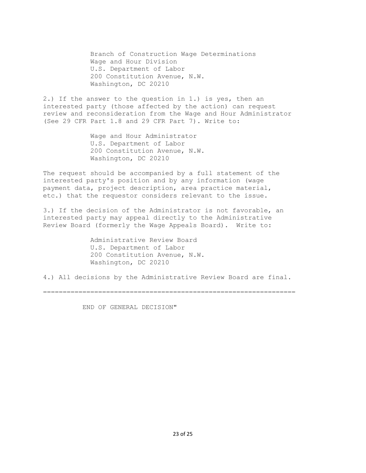Branch of Construction Wage Determinations Wage and Hour Division U.S. Department of Labor 200 Constitution Avenue, N.W. Washington, DC 20210

2.) If the answer to the question in 1.) is yes, then an interested party (those affected by the action) can request review and reconsideration from the Wage and Hour Administrator (See 29 CFR Part 1.8 and 29 CFR Part 7). Write to:

> Wage and Hour Administrator U.S. Department of Labor 200 Constitution Avenue, N.W. Washington, DC 20210

The request should be accompanied by a full statement of the interested party's position and by any information (wage payment data, project description, area practice material, etc.) that the requestor considers relevant to the issue.

3.) If the decision of the Administrator is not favorable, an interested party may appeal directly to the Administrative Review Board (formerly the Wage Appeals Board). Write to:

> Administrative Review Board U.S. Department of Labor 200 Constitution Avenue, N.W. Washington, DC 20210

4.) All decisions by the Administrative Review Board are final.

================================================================

END OF GENERAL DECISION"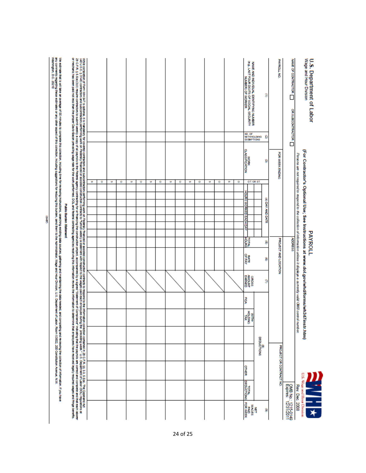| <b>us</b>                                                                                                                                                                                                                                                                                                                                                                                                                                                                                                                                                                                                                                                                                         | ۰ | <b>u</b> | ۰ | gy, | ٥ | U) | ۰ | <b>us</b> | ۰ | <b>CT</b> | ٥ | <b>u</b> | ۰ | w | ٥ | (e.g., LAST FOUR DIGITS OF SOCIAL SECURITY<br>(e.g., LAST FOUR DIGITS OF SOCIAL SECURITY<br>NAME AND INDIVIDUAL IDENTIFYING NUMBER<br>NO. OF<br>WITHHOLDING<br>EXEMPTIONS<br>MOLIVOLERSMIC<br>Š<br>OT. OR ST.<br>HOURS WORKED EACH DAY<br><b>Hours</b><br><b>DEFINY</b><br>GROSS<br>AMOUNT<br>š<br>SNITCH<br>Į | з<br>s<br>ø<br><b>DEDUCTIONS</b><br>ø | ø<br>(4) DAY AND DATE<br>Ø<br>S | <b>PAYRIOUT NO</b><br><b>FOR WEEK ENDING</b><br>PROJECT AND LOCATION | <b>WARE OF CONTRACTOR</b><br>OR SUBCONTRACTOR<br><b>ADDRESS</b> | Persons are not required to respond to the collection of information unless it displays a currently valid OMB control number. | Wage and Hour Division<br>U.S. Department of Labor<br>(For Contractor's Optional Use; See Instructions at www.dol.gov/whd/forms/wh347instr.htm)<br><b>PAYROLL</b> |
|---------------------------------------------------------------------------------------------------------------------------------------------------------------------------------------------------------------------------------------------------------------------------------------------------------------------------------------------------------------------------------------------------------------------------------------------------------------------------------------------------------------------------------------------------------------------------------------------------------------------------------------------------------------------------------------------------|---|----------|---|-----|---|----|---|-----------|---|-----------|---|----------|---|---|---|----------------------------------------------------------------------------------------------------------------------------------------------------------------------------------------------------------------------------------------------------------------------------------------------------------------|---------------------------------------|---------------------------------|----------------------------------------------------------------------|-----------------------------------------------------------------|-------------------------------------------------------------------------------------------------------------------------------|-------------------------------------------------------------------------------------------------------------------------------------------------------------------|
| or mechanic has been the proper David David Ways not be workproper David David David David David David David David David David David David David David David David David David David David David David David David David David<br>29 GFR § 55(a)(3)(i) require to the property organization the company of a company of a sign of a sign organization organization or a sign of a sign or company or complex to the part and the part and the part and a sign or<br>While conjetion of the material for collect contextrate and alternational composition context to the moment of composition contents in the content of the content of the content of the content of the content of the content |   |          |   |     |   |    |   |           |   |           |   |          |   |   |   | STREET<br>TOTAL<br>DEDUCTIONS<br><b>PAUD<br/>ROR WEEK</b><br>WAGES                                                                                                                                                                                                                                             |                                       |                                 | PROJECT OR CONTRACT NO.                                              | OMB No.: 1215-0149<br>Expires: 12/31/2011                       | Rev. Dec. 2008                                                                                                                | U.S. Wage and Hour Division                                                                                                                                       |

Î

24 of 25